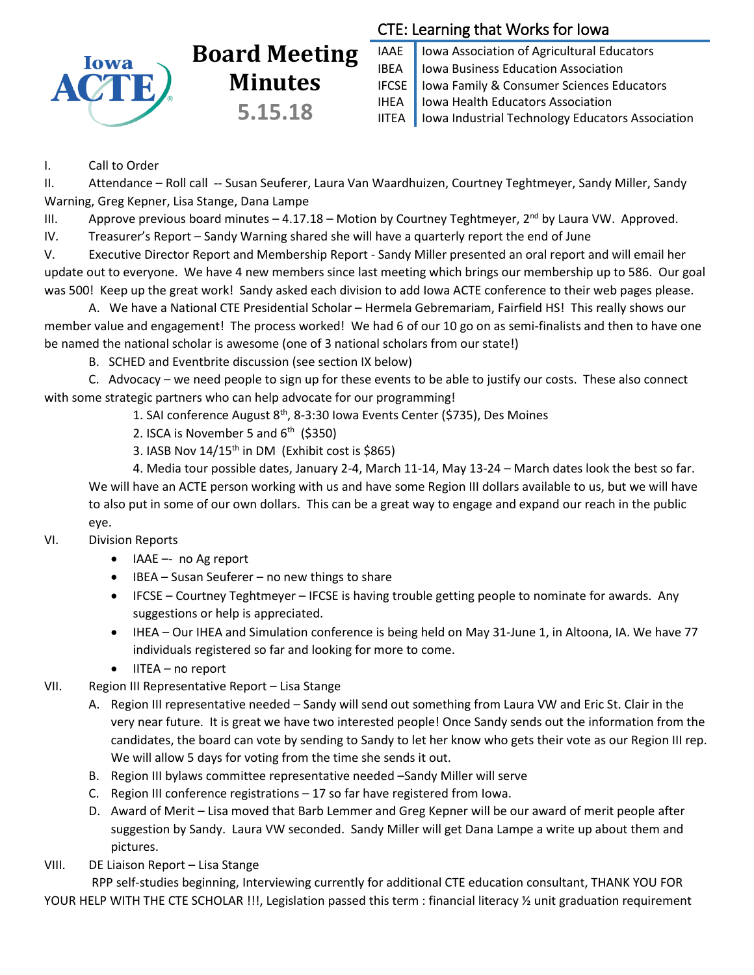

# **Board Meeting Minutes 5.15.18**

## CTE: Learning that Works for Iowa

IAAE | Iowa Association of Agricultural Educators IBEA | Iowa Business Education Association IFCSE Iowa Family & Consumer Sciences Educators IHEA | Iowa Health Educators Association IITEA | Iowa Industrial Technology Educators Association

### I. Call to Order

II. Attendance – Roll call -- Susan Seuferer, Laura Van Waardhuizen, Courtney Teghtmeyer, Sandy Miller, Sandy Warning, Greg Kepner, Lisa Stange, Dana Lampe

III. Approve previous board minutes  $-4.17.18$  – Motion by Courtney Teghtmeyer,  $2^{nd}$  by Laura VW. Approved.

IV. Treasurer's Report – Sandy Warning shared she will have a quarterly report the end of June

V. Executive Director Report and Membership Report - Sandy Miller presented an oral report and will email her update out to everyone. We have 4 new members since last meeting which brings our membership up to 586. Our goal was 500! Keep up the great work! Sandy asked each division to add Iowa ACTE conference to their web pages please.

A. We have a National CTE Presidential Scholar – Hermela Gebremariam, Fairfield HS! This really shows our member value and engagement! The process worked! We had 6 of our 10 go on as semi-finalists and then to have one be named the national scholar is awesome (one of 3 national scholars from our state!)

B. SCHED and Eventbrite discussion (see section IX below)

C. Advocacy – we need people to sign up for these events to be able to justify our costs. These also connect with some strategic partners who can help advocate for our programming!

1. SAI conference August 8<sup>th</sup>, 8-3:30 Iowa Events Center (\$735), Des Moines

2. ISCA is November 5 and  $6<sup>th</sup>$  (\$350)

3. IASB Nov  $14/15$ <sup>th</sup> in DM (Exhibit cost is \$865)

4. Media tour possible dates, January 2-4, March 11-14, May 13-24 – March dates look the best so far. We will have an ACTE person working with us and have some Region III dollars available to us, but we will have to also put in some of our own dollars. This can be a great way to engage and expand our reach in the public eye.

### VI. Division Reports

- IAAE -- no Ag report
- $\bullet$  IBEA Susan Seuferer no new things to share
- IFCSE Courtney Teghtmeyer IFCSE is having trouble getting people to nominate for awards. Any suggestions or help is appreciated.
- IHEA Our IHEA and Simulation conference is being held on May 31-June 1, in Altoona, IA. We have 77 individuals registered so far and looking for more to come.
- $\bullet$  IITEA no report
- VII. Region III Representative Report Lisa Stange
	- A. Region III representative needed Sandy will send out something from Laura VW and Eric St. Clair in the very near future. It is great we have two interested people! Once Sandy sends out the information from the candidates, the board can vote by sending to Sandy to let her know who gets their vote as our Region III rep. We will allow 5 days for voting from the time she sends it out.
	- B. Region III bylaws committee representative needed –Sandy Miller will serve
	- C. Region III conference registrations 17 so far have registered from Iowa.
	- D. Award of Merit Lisa moved that Barb Lemmer and Greg Kepner will be our award of merit people after suggestion by Sandy. Laura VW seconded. Sandy Miller will get Dana Lampe a write up about them and pictures.
- VIII. DE Liaison Report Lisa Stange

RPP self-studies beginning, Interviewing currently for additional CTE education consultant, THANK YOU FOR YOUR HELP WITH THE CTE SCHOLAR !!!, Legislation passed this term : financial literacy 1/2 unit graduation requirement